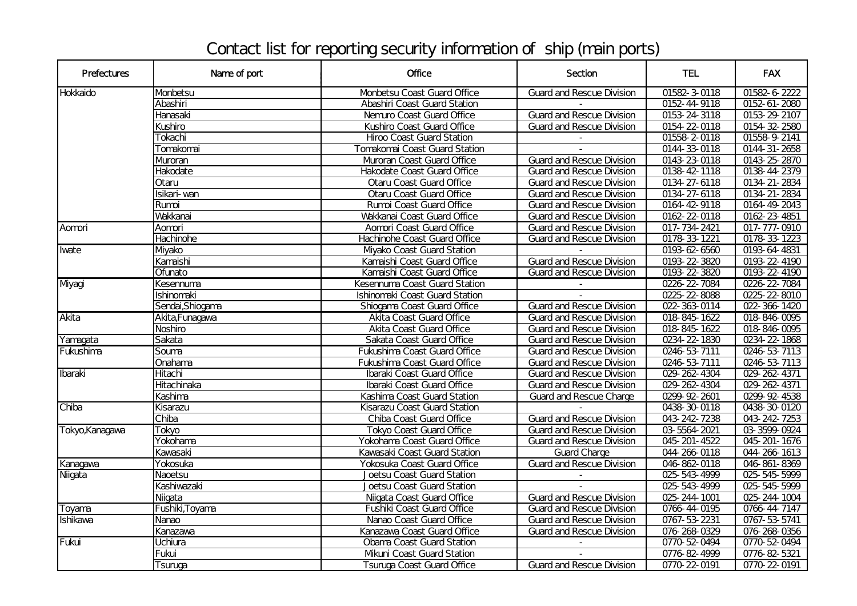## Contact list for reporting security information of ship (main ports)

| <b>Prefectures</b> | Name of port     | <b>Office</b>                       | Section                          | <b>TEL</b>   | <b>FAX</b>         |
|--------------------|------------------|-------------------------------------|----------------------------------|--------------|--------------------|
| <b>Hokkaido</b>    | Monbetsu         | Monbetsu Coast Guard Office         | <b>Guard and Rescue Division</b> | 01582-3-0118 | 01582-6-2222       |
|                    | Abashiri         | Abashiri Coast Guard Station        |                                  | 0152-44-9118 | $0152 - 61 - 2080$ |
|                    | Hanasaki         | Nemuro Coast Guard Office           | <b>Guard and Rescue Division</b> | 0153-24-3118 | 0153-29-2107       |
|                    | Kushiro          | Kushiro Coast Guard Office          | <b>Guard and Rescue Division</b> | 0154-22-0118 | 0154-32-2580       |
|                    | <b>Tokachi</b>   | <b>Hiroo Coast Guard Station</b>    |                                  | 01558-2-0118 | 01558-9-2141       |
|                    | Tomakomai        | Tomakomai Coast Guard Station       |                                  | 0144-33-0118 | $0144 - 31 - 2658$ |
|                    | <b>Muroran</b>   | Muroran Coast Guard Office          | <b>Guard and Rescue Division</b> | 0143-23-0118 | 0143-25-2870       |
|                    | Hakodate         | Hakodate Coast Guard Office         | <b>Guard and Rescue Division</b> | 0138-42-1118 | 0138-44-2379       |
|                    | Otaru            | <b>Otaru Coast Guard Office</b>     | <b>Guard and Rescue Division</b> | 0134-27-6118 | $0134 - 21 - 2834$ |
|                    | Isikari-wan      | <b>Otaru Coast Guard Office</b>     | <b>Guard and Rescue Division</b> | 0134-27-6118 | 0134-21-2834       |
|                    | Rumoi            | Rumoi Coast Guard Office            | <b>Guard and Rescue Division</b> | 0164-42-9118 | 0164-49-2043       |
|                    | Wakkanai         | Wakkanai Coast Guard Office         | <b>Guard and Rescue Division</b> | 0162-22-0118 | 0162-23-4851       |
| Aomori             | Aomori           | Aomori Coast Guard Office           | <b>Guard and Rescue Division</b> | 017-734-2421 | 017-777-0910       |
|                    | Hachinohe        | Hachinohe Coast Guard Office        | <b>Guard and Rescue Division</b> | 0178-33-1221 | 0178-33-1223       |
| <b>I</b> wate      | <b>Myako</b>     | <b>Myako Coast Guard Station</b>    |                                  | 0193-62-6560 | 0193-64-4831       |
|                    | Kamaishi         | Kamaishi Coast Guard Office         | <b>Guard and Rescue Division</b> | 0193-22-3820 | 0193-22-4190       |
|                    | Ofunato          | Kamaishi Coast Guard Office         | <b>Guard and Rescue Division</b> | 0193-22-3820 | 0193-22-4190       |
| Myagi              | Kesennuma        | Kesennuma Coast Guard Station       |                                  | 0226-22-7084 | 0226-22-7084       |
|                    | Ishinomaki       | Ishinomaki Coast Guard Station      |                                  | 025-22-8088  | 0225-22-8010       |
|                    | Sendai, Shiogama | Shiogama Coast Guard Office         | <b>Guard and Rescue Division</b> | 022-363-0114 | 022-366-1420       |
| Akita              | Akita, Funaqawa  | <b>Akita Coast Guard Office</b>     | <b>Guard and Rescue Division</b> | 018-845-1622 | 018-846-0095       |
|                    | Noshiro          | <b>Akita Coast Guard Office</b>     | <b>Guard and Rescue Division</b> | 018-845-1622 | 018-846-0095       |
| Yamagata           | <b>Sakata</b>    | Sakata Coast Guard Office           | <b>Guard and Rescue Division</b> | 0234-22-1830 | 0234-22-1868       |
| Fukushima          | Souma            | <b>Fukushima Coast Guard Office</b> | <b>Guard and Rescue Division</b> | 0246-53-7111 | 0246-53-7113       |
|                    | Onahama          | <b>Fukushima Coast Guard Office</b> | <b>Guard and Rescue Division</b> | 0246-53-7111 | 0246-53-7113       |
| Ibaraki            | Hitachi          | Ibaraki Coast Guard Office          | <b>Guard and Rescue Division</b> | 029-262-4304 | 029-262-4371       |
|                    | Hitachinaka      | Ibaraki Coast Guard Office          | <b>Guard and Rescue Division</b> | 029-262-4304 | 029-262-4371       |
|                    | Kashima          | Kashima Coast Guard Station         | <b>Guard and Rescue Charge</b>   | 0299-92-2601 | 0299-92-4538       |
| Chiba              | Kisarazu         | <b>Kisarazu Coast Guard Station</b> |                                  | 0438-30-0118 | 0438-30-0120       |
|                    | Chiba            | Chiba Coast Guard Office            | <b>Guard and Rescue Division</b> | 043-242-7238 | 043-242-7253       |
| Tokyo, Kanagawa    | Tokyo            | <b>Tokyo Coast Guard Office</b>     | <b>Guard and Rescue Division</b> | 03-5564-2021 | 03-3599-0924       |
|                    | Yokohama         | Yokohama Coast Guard Office         | <b>Guard and Rescue Division</b> | 045-201-4522 | 045-201-1676       |
|                    | Kawasaki         | Kawasaki Coast Guard Station        | <b>Guard Charge</b>              | 044-266-0118 | 044-266-1613       |
| Kanagawa           | Yokosuka         | Yokosuka Coast Guard Office         | <b>Guard and Rescue Division</b> | 046-862-0118 | 046-861-8369       |
| Niigata            | <b>Naoetsu</b>   | <b>Joetsu Coast Guard Station</b>   |                                  | 025-543-4999 | 025-545-5999       |
|                    | Kashiwazaki      | <b>Joetsu Coast Guard Station</b>   |                                  | 025-543-4999 | 025-545-5999       |
|                    | Niigata          | Niigata Coast Guard Office          | <b>Guard and Rescue Division</b> | 025-244-1001 | 025-244-1004       |
| Toyama             | Fushiki, Toyama  | <b>Fushiki Coast Guard Office</b>   | <b>Guard and Rescue Division</b> | 0766-44-0195 | 0766-44-7147       |
| <b>Ishikawa</b>    | Nanao            | Nanao Coast Guard Office            | <b>Guard and Rescue Division</b> | 0767-53-2231 | 0767-53-5741       |
|                    | Kanazawa         | Kanazawa Coast Guard Office         | <b>Guard and Rescue Division</b> | 076-268-0329 | 076-268-0356       |
| Fukui              | Uchiura          | <b>Obama Coast Guard Station</b>    |                                  | 0770-52-0494 | 0770-52-0494       |
|                    | Fukui            | <b>Mkuni Coast Guard Station</b>    |                                  | 0776-82-4999 | 0776-82-5321       |
|                    | Tsuruga          | <b>Tsuruga Coast Guard Office</b>   | <b>Guard and Rescue Division</b> | 0770-22-0191 | 0770-22-0191       |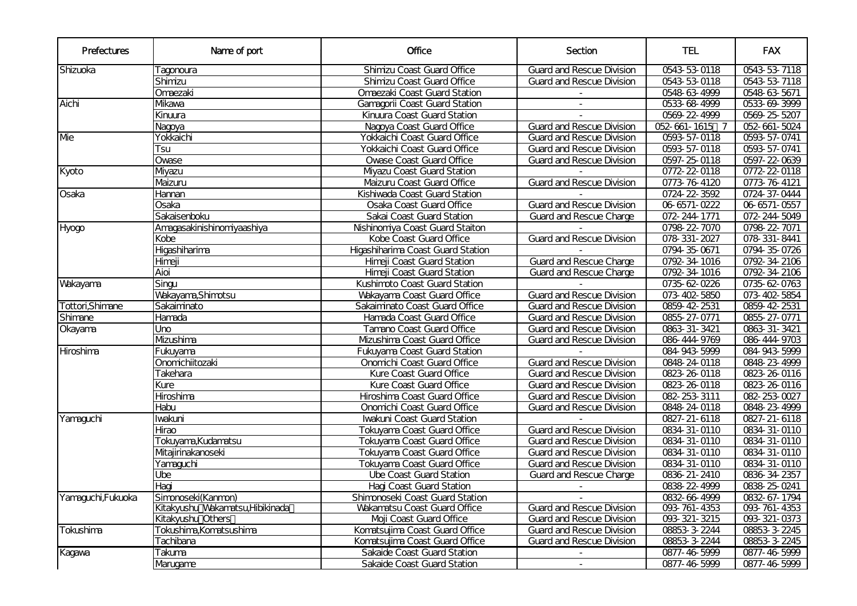| <b>Prefectures</b> | Name of port                     | Office                               | Section                          | <b>TEL</b>         | <b>FAX</b>   |
|--------------------|----------------------------------|--------------------------------------|----------------------------------|--------------------|--------------|
| Shizuoka           | Tagonoura                        | <b>Shimizu Coast Guard Office</b>    | <b>Guard and Rescue Division</b> | 0543-53-0118       | 0543-53-7118 |
|                    | Shimizu                          | Shimizu Coast Guard Office           | <b>Guard and Rescue Division</b> | 0543-53-0118       | 0543-53-7118 |
|                    | Omaezaki                         | Omaezaki Coast Guard Station         |                                  | 0548-63-4999       | 0548-63-5671 |
| Aichi              | <b>Mkawa</b>                     | <b>Gamagorii Coast Guard Station</b> | $\overline{\phantom{a}}$         | 0533-68-4999       | 0533-69-3999 |
|                    | Kinuura                          | Kinuura Coast Guard Station          |                                  | 0569-22-4999       | 0569-25-5207 |
|                    | Nagoya                           | Nagoya Coast Guard Office            | <b>Guard and Rescue Division</b> | 052-661-1615 7     | 052-661-5024 |
| Me                 | Yokkaichi                        | Yokkaichi Coast Guard Office         | <b>Guard and Rescue Division</b> | 0593-57-0118       | 0593-57-0741 |
|                    | Tsu                              | Yokkaichi Coast Guard Office         | <b>Guard and Rescue Division</b> | 0593-57-0118       | 0593-57-0741 |
|                    | Owase                            | <b>Ovase Coast Guard Office</b>      | <b>Guard and Rescue Division</b> | 0597-25-0118       | 0597-22-0639 |
| Kyoto              | Myazu                            | <b>Myazu Coast Guard Station</b>     |                                  | 0772-22-0118       | 0772-22-0118 |
|                    | Maizuru                          | Maizuru Coast Guard Office           | <b>Guard and Rescue Division</b> | 0773-76-4120       | 0773-76-4121 |
| Osaka              | Hannan                           | Kishiwada Coast Guard Station        |                                  | 0724-22-3592       | 0724 37-0444 |
|                    | Osaka                            | <b>Osaka Coast Guard Office</b>      | <b>Guard and Rescue Division</b> | $06 - 6571 - 0222$ | 06-6571-0557 |
|                    | Sakaisenboku                     | Sakai Coast Guard Station            | <b>Guard and Rescue Charge</b>   | 072-244-1771       | 072-244-5049 |
| Hyogo              | Amagasakinishinomiyaashiya       | Nishinomiya Coast Guard Staiton      |                                  | 0798-22-7070       | 0798-22-7071 |
|                    | Kobe                             | Kobe Coast Guard Office              | <b>Guard and Rescue Division</b> | 078-331-2027       | 078-331-8441 |
|                    | Higashiharima                    | Higashiharima Coast Guard Station    |                                  | 0794-35-0671       | 0794-35-0726 |
|                    | Himeji                           | Himeji Coast Guard Station           | <b>Guard and Rescue Charge</b>   | 0792-34-1016       | 0792-34-2106 |
|                    | Aioi                             | Himeji Coast Guard Station           | <b>Guard and Rescue Charge</b>   | 0792-34-1016       | 0792-34-2106 |
| Wakayama           | Singu                            | Kushimoto Coast Guard Station        |                                  | 0735-62-0226       | 0735-62-0763 |
|                    | Wakayama, Shimotsu               | Wakayama Coast Guard Office          | <b>Guard and Rescue Division</b> | 073-402-5850       | 073-402-5854 |
| Tottori, Shimane   | Sakaiminato                      | Sakaiminato Coast Guard Office       | <b>Guard and Rescue Division</b> | 0859-42-2531       | 0859-42-2531 |
| Shimane            | Hamada                           | Hamada Coast Guard Office            | <b>Guard and Rescue Division</b> | 0855-27-0771       | 0855-27-0771 |
| Okayama            | <b>Uno</b>                       | <b>Tamano Coast Guard Office</b>     | <b>Guard and Rescue Division</b> | 0863-31-3421       | 0863-31-3421 |
|                    | <b>Mzushima</b>                  | Mzushima Coast Guard Office          | <b>Guard and Rescue Division</b> | 086-444-9769       | 086-444-9703 |
| Hiroshima          | Fukuyama                         | <b>Fukuyama Coast Guard Station</b>  |                                  | 084-943-5999       | 084-943-5999 |
|                    | Onomichiitozaki                  | Onomichi Coast Guard Office          | <b>Guard and Rescue Division</b> | 0848-24-0118       | 0848-23-4999 |
|                    | Takehara                         | Kure Coast Guard Office              | <b>Guard and Rescue Division</b> | 0823-26-0118       | 0823-26-0116 |
|                    | Kure                             | Kure Coast Guard Office              | <b>Guard and Rescue Division</b> | 0823-26-0118       | 0823-26-0116 |
|                    | Hiroshima                        | Hiroshima Coast Guard Office         | <b>Guard and Rescue Division</b> | 082-253-3111       | 082-253-0027 |
|                    | Habu                             | Onomichi Coast Guard Office          | <b>Guard and Rescue Division</b> | 0848-24-0118       | 0848-23-4999 |
| Yamaguchi          | Iwakuni                          | <b>Ivakuni Coast Guard Station</b>   |                                  | 0827-21-6118       | 0827-21-6118 |
|                    | Hirao                            | <b>Tokuyama Coast Guard Office</b>   | <b>Guard and Rescue Division</b> | 0834-31-0110       | 0834-31-0110 |
|                    | Tokuyama,Kudamatsu               | <b>Tokuyama Coast Guard Office</b>   | <b>Guard and Rescue Division</b> | 0834-31-0110       | 0834-31-0110 |
|                    | Mtajirinakanoseki                | <b>Tokuyama Coast Guard Office</b>   | <b>Guard and Rescue Division</b> | 0834-31-0110       | 0834-31-0110 |
|                    | Yamaguchi                        | <b>Tokuyama Coast Guard Office</b>   | <b>Guard and Rescue Division</b> | 0834-31-0110       | 0834-31-0110 |
|                    | Ube                              | <b>Ube Coast Guard Station</b>       | <b>Guard and Rescue Charge</b>   | 0836-21-2410       | 0836-34-2357 |
|                    | Hagi                             | Hagi Coast Guard Station             |                                  | 0838-22-4999       | 0838-25-0241 |
|                    | Simonoseki (Kanmon)              | Shimonoseki Coast Guard Station      | $\sim$                           | 0832-66-4999       | 0832-67-1794 |
| Yamaguchi, Fukuoka | Kitakyushu Wakamatsu, Hibikinada | <b>Wakamatsu Coast Guard Office</b>  | <b>Guard and Rescue Division</b> | 093-761-4353       | 093-761-4353 |
|                    | Kitakyushu Others                | Moji Coast Guard Office              | <b>Guard and Rescue Division</b> | 093-321-3215       | 093-321-0373 |
| Tokushima          | Tokushima,Komatsushima           | Komatsujima Coast Guard Office       | <b>Guard and Rescue Division</b> | 08853-3-2244       | 08853-3-2245 |
|                    | Tachibana                        | Komatsujima Coast Guard Office       | <b>Guard and Rescue Division</b> | 08853-3-2244       | 08853-3-2245 |
|                    | Takuma                           | Sakaide Coast Guard Station          |                                  | 0877-46-5999       | 0877-46-5999 |
| Kagawa             |                                  |                                      |                                  |                    |              |
|                    | Marugame                         | <b>Sakaide Coast Guard Station</b>   | $\sim$                           | 0877-46-5999       | 0877-46-5999 |